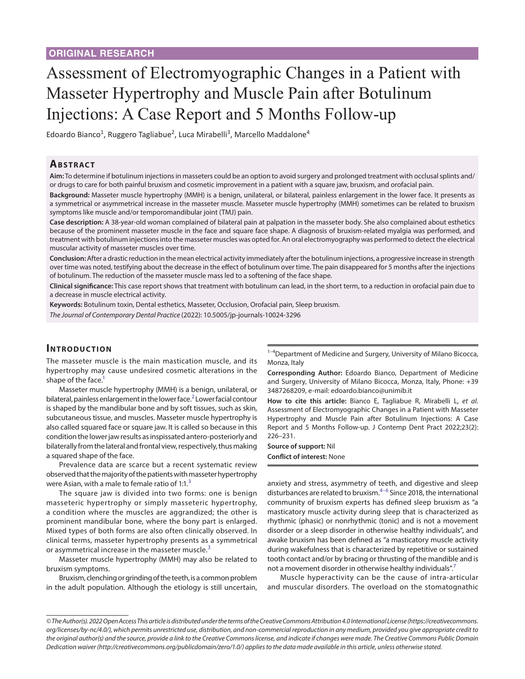# Assessment of Electromyographic Changes in a Patient with Masseter Hypertrophy and Muscle Pain after Botulinum Injections: A Case Report and 5 Months Follow-up

Edoardo Bianco<sup>1</sup>, Ruggero Tagliabue<sup>2</sup>, Luca Mirabelli<sup>3</sup>, Marcello Maddalone<sup>4</sup>

# **Ab s t rac t**

**Aim:** To determine if botulinum injections in masseters could be an option to avoid surgery and prolonged treatment with occlusal splints and/ or drugs to care for both painful bruxism and cosmetic improvement in a patient with a square jaw, bruxism, and orofacial pain.

**Background:** Masseter muscle hypertrophy (MMH) is a benign, unilateral, or bilateral, painless enlargement in the lower face. It presents as a symmetrical or asymmetrical increase in the masseter muscle. Masseter muscle hypertrophy (MMH) sometimes can be related to bruxism symptoms like muscle and/or temporomandibular joint (TMJ) pain.

**Case description:** A 38-year-old woman complained of bilateral pain at palpation in the masseter body. She also complained about esthetics because of the prominent masseter muscle in the face and square face shape. A diagnosis of bruxism-related myalgia was performed, and treatment with botulinum injections into the masseter muscles was opted for. An oral electromyography was performed to detect the electrical muscular activity of masseter muscles over time.

**Conclusion:** After a drastic reduction in the mean electrical activity immediately after the botulinum injections, a progressive increase in strength over time was noted, testifying about the decrease in the effect of botulinum over time. The pain disappeared for 5 months after the injections of botulinum. The reduction of the masseter muscle mass led to a softening of the face shape.

**Clinical significance:** This case report shows that treatment with botulinum can lead, in the short term, to a reduction in orofacial pain due to a decrease in muscle electrical activity.

**Keywords:** Botulinum toxin, Dental esthetics, Masseter, Occlusion, Orofacial pain, Sleep bruxism.

*The Journal of Contemporary Dental Practice* (2022): 10.5005/jp-journals-10024-3296

## **INTRODUCTION**

The masseter muscle is the main mastication muscle, and its hypertrophy may cause undesired cosmetic alterations in the shape of the face.

Masseter muscle hypertrophy (MMH) is a benign, unilateral, or bilateral, painless enlargement in the lower face.<sup>[2](#page-4-1)</sup> Lower facial contour is shaped by the mandibular bone and by soft tissues, such as skin, subcutaneous tissue, and muscles. Masseter muscle hypertrophy is also called squared face or square jaw. It is called so because in this condition the lower jaw results as inspissated antero-posteriorly and bilaterally from the lateral and frontal view, respectively, thus making a squared shape of the face.

Prevalence data are scarce but a recent systematic review observed that the majority of the patients with masseter hypertrophy were Asian, with a male to female ratio of  $1:1.^3$  $1:1.^3$ 

The square jaw is divided into two forms: one is benign masseteric hypertrophy or simply masseteric hypertrophy, a condition where the muscles are aggrandized; the other is prominent mandibular bone, where the bony part is enlarged. Mixed types of both forms are also often clinically observed. In clinical terms, masseter hypertrophy presents as a symmetrical or asymmetrical increase in the masseter muscle.<sup>[3](#page-4-2)</sup>

Masseter muscle hypertrophy (MMH) may also be related to bruxism symptoms.

Bruxism, clenching or grinding of the teeth, is a common problem in the adult population. Although the etiology is still uncertain,

<sup>1-4</sup>Department of Medicine and Surgery, University of Milano Bicocca, Monza, Italy

**Corresponding Author:** Edoardo Bianco, Department of Medicine and Surgery, University of Milano Bicocca, Monza, Italy, Phone: +39 3487268209, e-mail: edoardo.bianco@unimib.it

**How to cite this article:** Bianco E, Tagliabue R, Mirabelli L, *et al.* Assessment of Electromyographic Changes in a Patient with Masseter Hypertrophy and Muscle Pain after Botulinum Injections: A Case Report and 5 Months Follow-up. J Contemp Dent Pract 2022;23(2): 226–231.

**Source of support:** Nil **Conflict of interest:** None

anxiety and stress, asymmetry of teeth, and digestive and sleep disturbances are related to bruxism.<sup>4–[6](#page-4-4)</sup> Since 2018, the international community of bruxism experts has defined sleep bruxism as "a masticatory muscle activity during sleep that is characterized as rhythmic (phasic) or nonrhythmic (tonic) and is not a movement disorder or a sleep disorder in otherwise healthy individuals", and awake bruxism has been defined as "a masticatory muscle activity during wakefulness that is characterized by repetitive or sustained tooth contact and/or by bracing or thrusting of the mandible and is not a movement disorder in otherwise healthy individuals".<sup>[7](#page-4-5)</sup>

Muscle hyperactivity can be the cause of intra-articular and muscular disorders. The overload on the stomatognathic

*<sup>©</sup> The Author(s). 2022 Open Access This article is distributed under the terms of the Creative Commons Attribution 4.0 International License ([https://creativecommons.](https://creativecommons.org/licenses/by-nc/4.0/) [org/licenses/by-nc/4.0/](https://creativecommons.org/licenses/by-nc/4.0/)), which permits unrestricted use, distribution, and non-commercial reproduction in any medium, provided you give appropriate credit to the original author(s) and the source, provide a link to the Creative Commons license, and indicate if changes were made. The Creative Commons Public Domain Dedication waiver ([http://creativecommons.org/publicdomain/zero/1.0/\)](http://creativecommons.org/publicdomain/zero/1.0/) applies to the data made available in this article, unless otherwise stated.*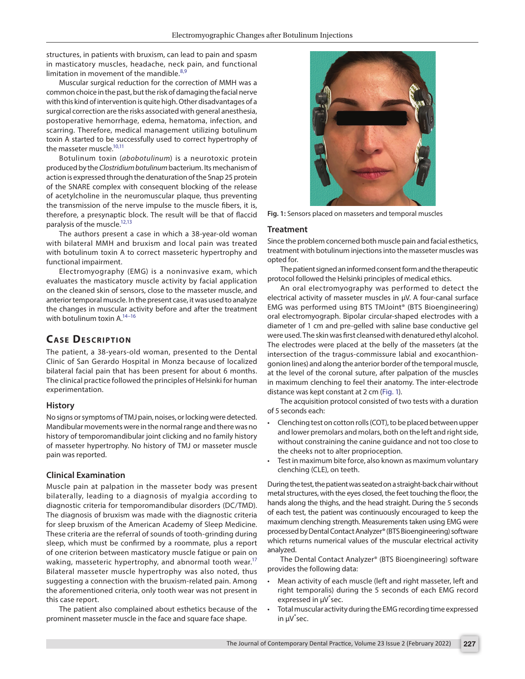structures, in patients with bruxism, can lead to pain and spasm in masticatory muscles, headache, neck pain, and functional limitation in movement of the mandible. $8,9$  $8,9$ 

Muscular surgical reduction for the correction of MMH was a common choice in the past, but the risk of damaging the facial nerve with this kind of intervention is quite high. Other disadvantages of a surgical correction are the risks associated with general anesthesia, postoperative hemorrhage, edema, hematoma, infection, and scarring. Therefore, medical management utilizing botulinum toxin A started to be successfully used to correct hypertrophy of the masseter muscle.<sup>10[,11](#page-4-9)</sup>

Botulinum toxin (*abobotulinum*) is a neurotoxic protein produced by the *Clostridium botulinum* bacterium. Its mechanism of action is expressed through the denaturation of the Snap 25 protein of the SNARE complex with consequent blocking of the release of acetylcholine in the neuromuscular plaque, thus preventing the transmission of the nerve impulse to the muscle fibers, it is, therefore, a presynaptic block. The result will be that of flaccid paralysis of the muscle[.12](#page-4-10)[,13](#page-4-11)

The authors present a case in which a 38-year-old woman with bilateral MMH and bruxism and local pain was treated with botulinum toxin A to correct masseteric hypertrophy and functional impairment.

Electromyography (EMG) is a noninvasive exam, which evaluates the masticatory muscle activity by facial application on the cleaned skin of sensors, close to the masseter muscle, and anterior temporal muscle. In the present case, it was used to analyze the changes in muscular activity before and after the treatment with botulinum toxin A[.14](#page-4-12)[–16](#page-4-13)

# **CASE DESCRIPTION**

The patient, a 38-years-old woman, presented to the Dental Clinic of San Gerardo Hospital in Monza because of localized bilateral facial pain that has been present for about 6 months. The clinical practice followed the principles of Helsinki for human experimentation.

#### **History**

No signs or symptoms of TMJ pain, noises, or locking were detected. Mandibular movements were in the normal range and there was no history of temporomandibular joint clicking and no family history of masseter hypertrophy. No history of TMJ or masseter muscle pain was reported.

## **Clinical Examination**

Muscle pain at palpation in the masseter body was present bilaterally, leading to a diagnosis of myalgia according to diagnostic criteria for temporomandibular disorders (DC/TMD). The diagnosis of bruxism was made with the diagnostic criteria for sleep bruxism of the American Academy of Sleep Medicine. These criteria are the referral of sounds of tooth-grinding during sleep, which must be confirmed by a roommate, plus a report of one criterion between masticatory muscle fatigue or pain on waking, masseteric hypertrophy, and abnormal tooth wear.<sup>17</sup> Bilateral masseter muscle hypertrophy was also noted, thus suggesting a connection with the bruxism-related pain. Among the aforementioned criteria, only tooth wear was not present in this case report.

The patient also complained about esthetics because of the prominent masseter muscle in the face and square face shape.



**Fig. 1:** Sensors placed on masseters and temporal muscles

#### <span id="page-1-0"></span>**Treatment**

Since the problem concerned both muscle pain and facial esthetics, treatment with botulinum injections into the masseter muscles was opted for.

The patient signed an informed consent form and the therapeutic protocol followed the Helsinki principles of medical ethics.

An oral electromyography was performed to detect the electrical activity of masseter muscles in µV. A four-canal surface EMG was performed using BTS TMJoint® (BTS Bioengineering) oral electromyograph. Bipolar circular-shaped electrodes with a diameter of 1 cm and pre-gelled with saline base conductive gel were used. The skin was first cleansed with denatured ethyl alcohol. The electrodes were placed at the belly of the masseters (at the intersection of the tragus-commissure labial and exocanthiongonion lines) and along the anterior border of the temporal muscle, at the level of the coronal suture, after palpation of the muscles in maximum clenching to feel their anatomy. The inter-electrode distance was kept constant at 2 cm [\(Fig. 1\)](#page-1-0).

The acquisition protocol consisted of two tests with a duration of 5 seconds each:

- Clenching test on cotton rolls (COT), to be placed between upper and lower premolars and molars, both on the left and right side, without constraining the canine guidance and not too close to the cheeks not to alter proprioception.
- Test in maximum bite force, also known as maximum voluntary clenching (CLE), on teeth.

During the test, the patient was seated on a straight-back chair without metal structures, with the eyes closed, the feet touching the floor, the hands along the thighs, and the head straight. During the 5 seconds of each test, the patient was continuously encouraged to keep the maximum clenching strength. Measurements taken using EMG were processed by Dental Contact Analyzer® (BTS Bioengineering) software which returns numerical values of the muscular electrical activity analyzed.

The Dental Contact Analyzer® (BTS Bioengineering) software provides the following data:

- Mean activity of each muscle (left and right masseter, left and right temporalis) during the 5 seconds of each EMG record expressed in µV\* sec.
- Total muscular activity during the EMG recording time expressed in µV\* sec.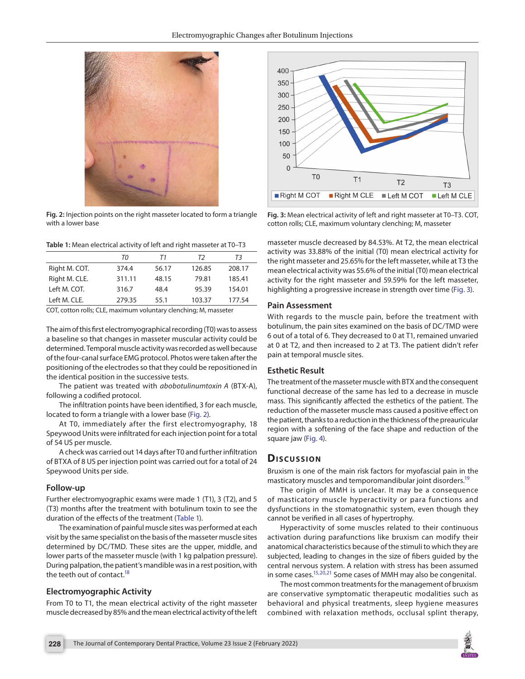

**Fig. 2:** Injection points on the right masseter located to form a triangle with a lower base

<span id="page-2-1"></span><span id="page-2-0"></span>**Table 1:** Mean electrical activity of left and right masseter at T0–T3

|               | TΟ     | Τ1    | T2     | T3     |
|---------------|--------|-------|--------|--------|
| Right M. COT. | 374.4  | 56.17 | 126.85 | 208.17 |
| Right M. CLE. | 311.11 | 48.15 | 79.81  | 185.41 |
| Left M. COT.  | 316.7  | 48.4  | 95.39  | 154.01 |
| Left M. CLE.  | 279.35 | 55.1  | 103.37 | 177.54 |

COT, cotton rolls; CLE, maximum voluntary clenching; M, masseter

The aim of this first electromyographical recording (T0) was to assess a baseline so that changes in masseter muscular activity could be determined. Temporal muscle activity was recorded as well because of the four-canal surface EMG protocol. Photos were taken after the positioning of the electrodes so that they could be repositioned in the identical position in the successive tests.

The patient was treated with *abobotulinumtoxin A* (BTX-A), following a codified protocol.

The infiltration points have been identified, 3 for each muscle, located to form a triangle with a lower base ([Fig. 2](#page-2-0)).

At T0, immediately after the first electromyography, 18 Speywood Units were infiltrated for each injection point for a total of 54 US per muscle.

A check was carried out 14 days after T0 and further infiltration of BTXA of 8 US per injection point was carried out for a total of 24 Speywood Units per side.

#### **Follow-up**

Further electromyographic exams were made 1 (T1), 3 (T2), and 5 (T3) months after the treatment with botulinum toxin to see the duration of the effects of the treatment [\(Table 1](#page-2-1)).

The examination of painful muscle sites was performed at each visit by the same specialist on the basis of the masseter muscle sites determined by DC/TMD. These sites are the upper, middle, and lower parts of the masseter muscle (with 1 kg palpation pressure). During palpation, the patient's mandible was in a rest position, with the teeth out of contact.<sup>18</sup>

#### **Electromyographic Activity**

From T0 to T1, the mean electrical activity of the right masseter muscle decreased by 85% and the mean electrical activity of the left



<span id="page-2-2"></span>**Fig. 3:** Mean electrical activity of left and right masseter at T0–T3. COT, cotton rolls; CLE, maximum voluntary clenching; M, masseter

masseter muscle decreased by 84.53%. At T2, the mean electrical activity was 33.88% of the initial (T0) mean electrical activity for the right masseter and 25.65% for the left masseter, while at T3 the mean electrical activity was 55.6% of the initial (T0) mean electrical activity for the right masseter and 59.59% for the left masseter, highlighting a progressive increase in strength over time [\(Fig. 3\)](#page-2-2).

#### **Pain Assessment**

With regards to the muscle pain, before the treatment with botulinum, the pain sites examined on the basis of DC/TMD were 6 out of a total of 6. They decreased to 0 at T1, remained unvaried at 0 at T2, and then increased to 2 at T3. The patient didn't refer pain at temporal muscle sites.

### **Esthetic Result**

The treatment of the masseter muscle with BTX and the consequent functional decrease of the same has led to a decrease in muscle mass. This significantly affected the esthetics of the patient. The reduction of the masseter muscle mass caused a positive effect on the patient, thanks to a reduction in the thickness of the preauricular region with a softening of the face shape and reduction of the square jaw ([Fig. 4\)](#page-3-0).

## **Dis c u s sio n**

Bruxism is one of the main risk factors for myofascial pain in the masticatory muscles and temporomandibular joint disorders.<sup>19</sup>

The origin of MMH is unclear. It may be a consequence of masticatory muscle hyperactivity or para functions and dysfunctions in the stomatognathic system, even though they cannot be verified in all cases of hypertrophy.

Hyperactivity of some muscles related to their continuous activation during parafunctions like bruxism can modify their anatomical characteristics because of the stimuli to which they are subjected, leading to changes in the size of fibers guided by the central nervous system. A relation with stress has been assumed in some cases.<sup>15,[20,](#page-4-18)[21](#page-4-19)</sup> Some cases of MMH may also be congenital.

The most common treatments for the management of bruxism are conservative symptomatic therapeutic modalities such as behavioral and physical treatments, sleep hygiene measures combined with relaxation methods, occlusal splint therapy,

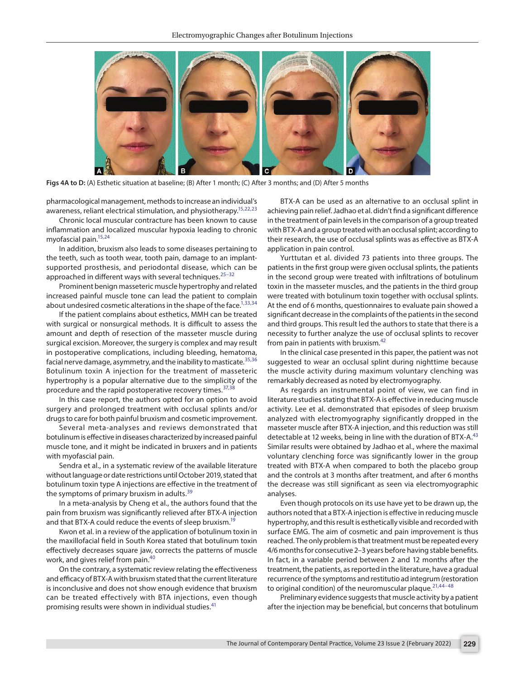

**Figs 4A to D:** (A) Esthetic situation at baseline; (B) After 1 month; (C) After 3 months; and (D) After 5 months

<span id="page-3-0"></span>pharmacological management, methods to increase an individual's awareness, reliant electrical stimulation, and physiotherapy.<sup>15,[22](#page-4-20)[,23](#page-5-0)</sup>

Chronic local muscular contracture has been known to cause inflammation and localized muscular hypoxia leading to chronic myofascial pain[.15](#page-4-17),[24](#page-5-1)

In addition, bruxism also leads to some diseases pertaining to the teeth, such as tooth wear, tooth pain, damage to an implantsupported prosthesis, and periodontal disease, which can be approached in different ways with several techniques. $25-32$  $25-32$ 

Prominent benign masseteric muscle hypertrophy and related increased painful muscle tone can lead the patient to complain about undesired cosmetic alterations in the shape of the face.<sup>1[,33](#page-5-4)[,34](#page-5-5)</sup>

If the patient complains about esthetics, MMH can be treated with surgical or nonsurgical methods. It is difficult to assess the amount and depth of resection of the masseter muscle during surgical excision. Moreover, the surgery is complex and may result in postoperative complications, including bleeding, hematoma, facial nerve damage, asymmetry, and the inability to masticate.<sup>[35,](#page-5-6)[36](#page-5-7)</sup> Botulinum toxin A injection for the treatment of masseteric hypertrophy is a popular alternative due to the simplicity of the procedure and the rapid postoperative recovery times.<sup>[37](#page-5-8),[38](#page-5-9)</sup>

In this case report, the authors opted for an option to avoid surgery and prolonged treatment with occlusal splints and/or drugs to care for both painful bruxism and cosmetic improvement.

Several meta-analyses and reviews demonstrated that botulinum is effective in diseases characterized by increased painful muscle tone, and it might be indicated in bruxers and in patients with myofascial pain.

Sendra et al., in a systematic review of the available literature without language or date restrictions until October 2019, stated that botulinum toxin type A injections are effective in the treatment of the symptoms of primary bruxism in adults.<sup>[39](#page-5-10)</sup>

In a meta-analysis by Cheng et al., the authors found that the pain from bruxism was significantly relieved after BTX-A injection and that BTX-A could reduce the events of sleep bruxism.<sup>19</sup>

Kwon et al. in a review of the application of botulinum toxin in the maxillofacial field in South Korea stated that botulinum toxin effectively decreases square jaw, corrects the patterns of muscle work, and gives relief from pain.[40](#page-5-11)

On the contrary, a systematic review relating the effectiveness and efficacy of BTX-A with bruxism stated that the current literature is inconclusive and does not show enough evidence that bruxism can be treated effectively with BTA injections, even though promising results were shown in individual studies.<sup>4</sup>

BTX-A can be used as an alternative to an occlusal splint in achieving pain relief. Jadhao et al. didn't find a significant difference in the treatment of pain levels in the comparison of a group treated with BTX-A and a group treated with an occlusal splint; according to their research, the use of occlusal splints was as effective as BTX-A application in pain control.

Yurttutan et al. divided 73 patients into three groups. The patients in the first group were given occlusal splints, the patients in the second group were treated with infiltrations of botulinum toxin in the masseter muscles, and the patients in the third group were treated with botulinum toxin together with occlusal splints. At the end of 6 months, questionnaires to evaluate pain showed a significant decrease in the complaints of the patients in the second and third groups. This result led the authors to state that there is a necessity to further analyze the use of occlusal splints to recover from pain in patients with bruxism.<sup>[42](#page-5-13)</sup>

In the clinical case presented in this paper, the patient was not suggested to wear an occlusal splint during nighttime because the muscle activity during maximum voluntary clenching was remarkably decreased as noted by electromyography.

As regards an instrumental point of view, we can find in literature studies stating that BTX-A is effective in reducing muscle activity. Lee et al. demonstrated that episodes of sleep bruxism analyzed with electromyography significantly dropped in the masseter muscle after BTX-A injection, and this reduction was still detectable at 12 weeks, being in line with the duration of BTX-A.<sup>[43](#page-5-14)</sup> Similar results were obtained by Jadhao et al., where the maximal voluntary clenching force was significantly lower in the group treated with BTX-A when compared to both the placebo group and the controls at 3 months after treatment, and after 6 months the decrease was still significant as seen via electromyographic analyses.

Even though protocols on its use have yet to be drawn up, the authors noted that a BTX-A injection is effective in reducing muscle hypertrophy, and this result is esthetically visible and recorded with surface EMG. The aim of cosmetic and pain improvement is thus reached. The only problem is that treatment must be repeated every 4/6 months for consecutive 2–3 years before having stable benefits. In fact, in a variable period between 2 and 12 months after the treatment, the patients, as reported in the literature, have a gradual recurrence of the symptoms and restitutio ad integrum (restoration to original condition) of the neuromuscular plaque. $21,44-48$  $21,44-48$  $21,44-48$ 

Preliminary evidence suggests that muscle activity by a patient after the injection may be beneficial, but concerns that botulinum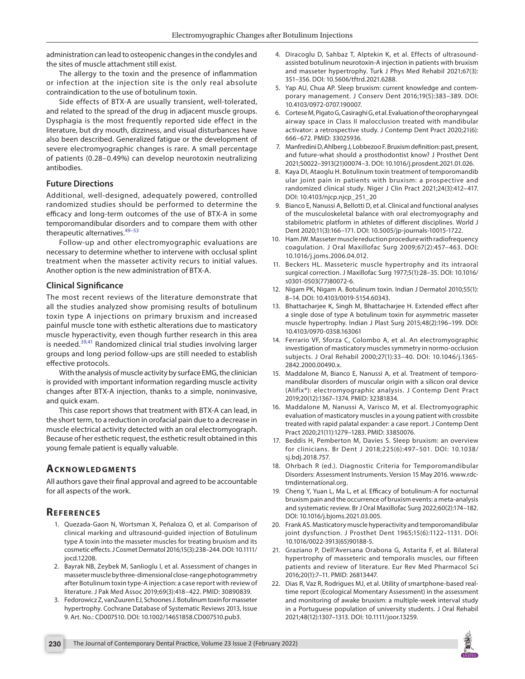administration can lead to osteopenic changes in the condyles and the sites of muscle attachment still exist.

The allergy to the toxin and the presence of inflammation or infection at the injection site is the only real absolute contraindication to the use of botulinum toxin.

Side effects of BTX-A are usually transient, well-tolerated, and related to the spread of the drug in adjacent muscle groups. Dysphagia is the most frequently reported side effect in the literature, but dry mouth, dizziness, and visual disturbances have also been described. Generalized fatigue or the development of severe electromyographic changes is rare. A small percentage of patients (0.28–0.49%) can develop neurotoxin neutralizing antibodies.

## **Future Directions**

Additional, well-designed, adequately powered, controlled randomized studies should be performed to determine the efficacy and long-term outcomes of the use of BTX-A in some temporomandibular disorders and to compare them with other therapeutic alternatives.<sup>[49](#page-5-17)-[53](#page-5-18)</sup>

Follow-up and other electromyographic evaluations are necessary to determine whether to intervene with occlusal splint treatment when the masseter activity recurs to initial values. Another option is the new administration of BTX-A.

## **Clinical Significance**

The most recent reviews of the literature demonstrate that all the studies analyzed show promising results of botulinum toxin type A injections on primary bruxism and increased painful muscle tone with esthetic alterations due to masticatory muscle hyperactivity, even though further research in this area is needed.<sup>[39,](#page-5-10)41</sup> Randomized clinical trial studies involving larger groups and long period follow-ups are still needed to establish effective protocols.

With the analysis of muscle activity by surface EMG, the clinician is provided with important information regarding muscle activity changes after BTX-A injection, thanks to a simple, noninvasive, and quick exam.

This case report shows that treatment with BTX-A can lead, in the short term, to a reduction in orofacial pain due to a decrease in muscle electrical activity detected with an oral electromyograph. Because of her esthetic request, the esthetic result obtained in this young female patient is equally valuable.

# **ACKNOWLEDGMENTS**

All authors gave their final approval and agreed to be accountable for all aspects of the work.

# **Re f e r e n c e s**

- <span id="page-4-0"></span>1. Quezada-Gaon N, Wortsman X, Peñaloza O, et al. Comparison of clinical marking and ultrasound-guided injection of Botulinum type A toxin into the masseter muscles for treating bruxism and its cosmetic effects. J Cosmet Dermatol 2016;15(3):238–244. DOI: 10.1111/ jocd.12208.
- <span id="page-4-1"></span>2. Bayrak NB, Zeybek M, Sanlioglu I, et al. Assessment of changes in masseter muscle by three-dimensional close-range photogrammetry after Botulinum toxin type-A injection: a case report with review of literature. J Pak Med Assoc 2019;69(3):418–422. PMID: 30890839.
- <span id="page-4-2"></span>3. Fedorowicz Z, vanZuuren EJ, Schoones J. Botulinum toxin for masseter hypertrophy. Cochrane Database of Systematic Reviews 2013, Issue 9. Art. No.: CD007510. DOI: 10.1002/14651858.CD007510.pub3.
- <span id="page-4-3"></span>4. Diracoglu D, Sahbaz T, Alptekin K, et al. Effects of ultrasoundassisted botulinum neurotoxin-A injection in patients with bruxism and masseter hypertrophy. Turk J Phys Med Rehabil 2021;67(3): 351–356. DOI: 10.5606/tftrd.2021.6288.
- 5. Yap AU, Chua AP. Sleep bruxism: current knowledge and contemporary management. J Conserv Dent 2016;19(5):383–389. DOI: 10.4103/0972-0707.190007.
- <span id="page-4-4"></span>6. Cortese M, Pigato G, Casiraghi G, et al. Evaluation of the oropharyngeal airway space in Class II malocclusion treated with mandibular activator: a retrospective study. J Contemp Dent Pract 2020;21(6): 666–672. PMID: 33025936.
- <span id="page-4-5"></span>7. Manfredini D, Ahlberg J, Lobbezoo F. Bruxism definition: past, present, and future-what should a prosthodontist know? J Prosthet Dent 2021;S0022–3913(21)00074–3. DOI: 10.1016/j.prosdent.2021.01.026.
- <span id="page-4-6"></span>8. Kaya DI, Ataoglu H. Botulinum toxin treatment of temporomandib ular joint pain in patients with bruxism: a prospective and randomized clinical study. Niger J Clin Pract 2021;24(3):412–417. DOI: 10.4103/njcp.njcp\_251\_20
- <span id="page-4-7"></span>9. Bianco E, Nanussi A, Bellotti D, et al. Clinical and functional analyses of the musculoskeletal balance with oral electromyography and stabilometric platform in athletes of different disciplines. World J Dent 2020;11(3):166–171. DOI: 10.5005/jp-journals-10015-1722.
- <span id="page-4-8"></span>10. Ham JW. Masseter muscle reduction procedure with radiofrequency coagulation. J Oral Maxillofac Surg 2009;67(2):457–463. DOI: 10.1016/j.joms.2006.04.012.
- <span id="page-4-9"></span>11. Beckers HL. Masseteric muscle hypertrophy and its intraoral surgical correction. J Maxillofac Surg 1977;5(1):28–35. DOI: 10.1016/ s0301-0503(77)80072-6.
- <span id="page-4-10"></span>12. Nigam PK, Nigam A. Botulinum toxin. Indian J Dermatol 2010;55(1): 8–14. DOI: 10.4103/0019-5154.60343.
- <span id="page-4-11"></span>13. Bhattacharjee K, Singh M, Bhattacharjee H. Extended effect after a single dose of type A botulinum toxin for asymmetric masseter muscle hypertrophy. Indian J Plast Surg 2015;48(2):196–199. DOI: 10.4103/0970-0358.163061
- <span id="page-4-12"></span>14. Ferrario VF, Sforza C, Colombo A, et al. An electromyographic investigation of masticatory muscles symmetry in normo-occlusion subjects. J Oral Rehabil 2000;27(1):33–40. DOI: 10.1046/j.1365- 2842.2000.00490.x.
- <span id="page-4-17"></span>15. Maddalone M, Bianco E, Nanussi A, et al. Treatment of temporomandibular disorders of muscular origin with a silicon oral device (Alifix®): electromyographic analysis. J Contemp Dent Pract 2019;20(12):1367–1374. PMID: 32381834.
- <span id="page-4-13"></span>16. Maddalone M, Nanussi A, Varisco M, et al. Electromyographic evaluation of masticatory muscles in a young patient with crossbite treated with rapid palatal expander: a case report. J Contemp Dent Pract 2020;21(11):1279–1283. PMID: 33850076.
- <span id="page-4-14"></span>17. Beddis H, Pemberton M, Davies S. Sleep bruxism: an overview for clinicians. Br Dent J 2018;225(6):497–501. DOI: 10.1038/ sj.bdj.2018.757.
- <span id="page-4-15"></span>18. Ohrbach R (ed.). Diagnostic Criteria for Temporomandibular Disorders: Assessment Instruments. Version 15 May 2016. www.rdctmdinternational.org.
- <span id="page-4-16"></span>19. Cheng Y, Yuan L, Ma L, et al. Efficacy of botulinum-A for nocturnal bruxism pain and the occurrence of bruxism events: a meta-analysis and systematic review. Br J Oral Maxillofac Surg 2022;60(2):174–182. DOI: 10.1016/j.bjoms.2021.03.005.
- <span id="page-4-18"></span>20. Frank AS. Masticatory muscle hyperactivity and temporomandibular joint dysfunction. J Prosthet Dent 1965;15(6):1122–1131. DOI: 10.1016/0022-3913(65)90188-5.
- <span id="page-4-19"></span>21. Graziano P, Dell'Aversana Orabona G, Astarita F, et al. Bilateral hypertrophy of masseteric and temporalis muscles, our fifteen patients and review of literature. Eur Rev Med Pharmacol Sci 2016;20(1):7–11. PMID: 26813447.
- <span id="page-4-20"></span>22. Dias R, Vaz R, Rodrigues MJ, et al. Utility of smartphone-based realtime report (Ecological Momentary Assessment) in the assessment and monitoring of awake bruxism: a multiple-week interval study in a Portuguese population of university students. J Oral Rehabil 2021;48(12):1307–1313. DOI: 10.1111/joor.13259.